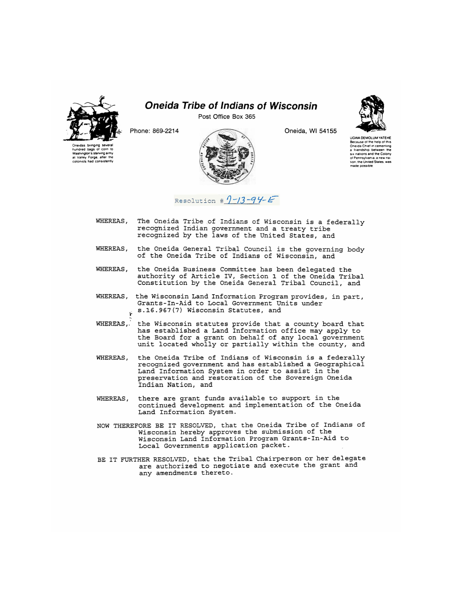

## *Oneida Tribe of Indians of Wisconsin*

Post Office Box 365



Oneidas bringing several hundred bags of corn to Washington's Starving army at valley Forge, after the colonists had consistently Oneida, Wl 54155



UGWA DEMOlUM YATEHE Because ot the help ot this Oneida Cnief in cementing a friendship between me six nations and the Colony ot Pennsylvania, a new nation. the United States was made possible

Resolution  $\#$   $9 - 13 - 94 - E$ 

- WHEREAS, The Oneida Tribe of Indians of Wisconsin is a federally recognized Indian government and a treaty tribe recognized by the laws of the United States, and
- WHEREAS, the Oneida General Tribal Council is the governing body of the Oneida Tribe of Indians of Wisconsin, and
- WHEREAS, the Oneida Business Committee has been delegated the authority of Article IV, Section 1 of the Oneida Tribal Constitution by the Oneida General Tribal Council, and
- WHEREAS, the Wisconsin Land Information Program provides, in part, Grants-In-Aid to Local Government Units under s.16.967(7) Wisconsin Statutes, and
- WHEREAS, the Wisconsin statutes provide that a county board that has established a Land Information office may apply to the Board for a grant on behalf of any local government unit located wholly or partially within the county, and
- WHEREAS, the Oneida Tribe of Indians of Wisconsin is a federally recognized government and has established a Geographical Land Information System in order to assist in the preservation and restoration of the Sovereign Oneida Indian Nation, and
- WHEREAS, there are grant funds available to support in the continued development and implementation of the Oneida Land Information System.
- NOW THEREFORE BE IT RESOLVED, that the Oneida Tribe of Indians of Wisconsin hereby approves the submission of the Wisconsin Land Information Program Grants-In-Aid to Local Governments application packet.
- BE IT FURTHER RESOLVED, that the Tribal Chairperson or her delegate are authorized to negotiate and execute the grant and any amendments thereto.